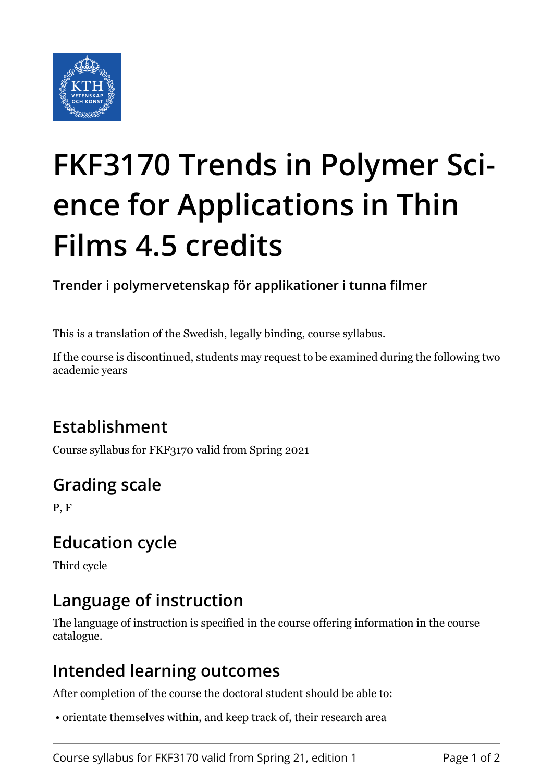

# **FKF3170 Trends in Polymer Science for Applications in Thin Films 4.5 credits**

**Trender i polymervetenskap för applikationer i tunna filmer**

This is a translation of the Swedish, legally binding, course syllabus.

If the course is discontinued, students may request to be examined during the following two academic years

# **Establishment**

Course syllabus for FKF3170 valid from Spring 2021

# **Grading scale**

P, F

### **Education cycle**

Third cycle

## **Language of instruction**

The language of instruction is specified in the course offering information in the course catalogue.

#### **Intended learning outcomes**

After completion of the course the doctoral student should be able to:

• orientate themselves within, and keep track of, their research area

Course syllabus for FKF3170 valid from Spring 21, edition 1 Page 1 of 2